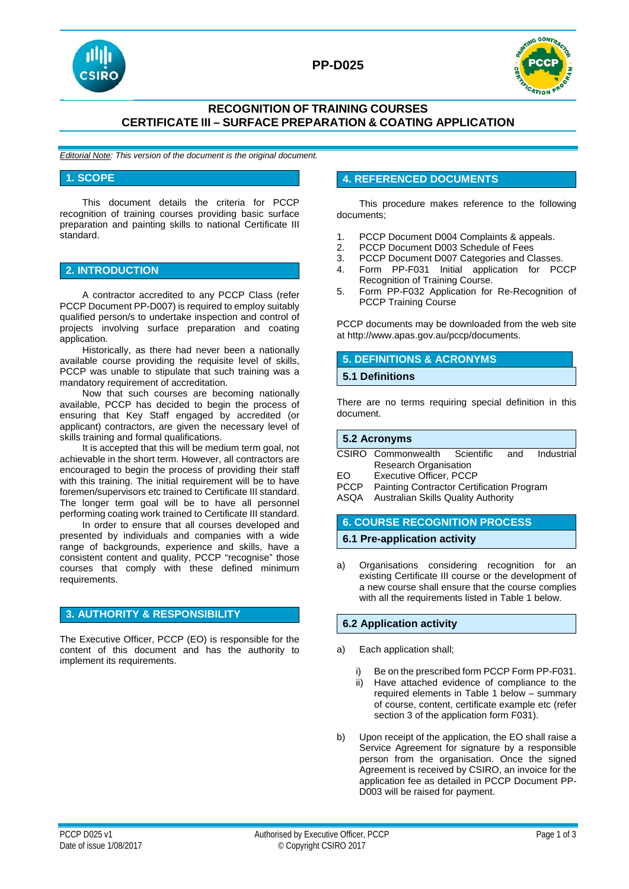

## **PP-D025**



## **RECOGNITION OF TRAINING COURSES CERTIFICATE III – SURFACE PREPARATION & COATING APPLICATION**

*Editorial Note: This version of the document is the original document.*

### **1. SCOPE**

This document details the criteria for PCCP recognition of training courses providing basic surface preparation and painting skills to national Certificate III standard.

## **2. INTRODUCTION**

A contractor accredited to any PCCP Class (refer PCCP Document PP-D007) is required to employ suitably qualified person/s to undertake inspection and control of projects involving surface preparation and coating application.

Historically, as there had never been a nationally available course providing the requisite level of skills, PCCP was unable to stipulate that such training was a mandatory requirement of accreditation.

Now that such courses are becoming nationally available, PCCP has decided to begin the process of ensuring that Key Staff engaged by accredited (or applicant) contractors, are given the necessary level of skills training and formal qualifications.

It is accepted that this will be medium term goal, not achievable in the short term. However, all contractors are encouraged to begin the process of providing their staff with this training. The initial requirement will be to have foremen/supervisors etc trained to Certificate III standard. The longer term goal will be to have all personnel performing coating work trained to Certificate III standard.

In order to ensure that all courses developed and presented by individuals and companies with a wide range of backgrounds, experience and skills, have a consistent content and quality, PCCP "recognise" those courses that comply with these defined minimum requirements.

### **3. AUTHORITY & RESPONSIBILITY**

The Executive Officer, PCCP (EO) is responsible for the content of this document and has the authority to implement its requirements.

### **4. REFERENCED DOCUMENTS**

This procedure makes reference to the following documents;

- 1. PCCP Document D004 Complaints & appeals.<br>2. PCCP Document D003 Schedule of Fees
- 2. PCCP Document D003 Schedule of Fees<br>3. PCCP Document D007 Categories and C
- 3. PCCP Document D007 Categories and Classes.<br>4. Form PP-F031 Initial application for PC
- 4. Form PP-F031 Initial application for PCCP Recognition of Training Course.
- 5. Form PP-F032 Application for Re-Recognition of PCCP Training Course

PCCP documents may be downloaded from the web site at http://www.apas.gov.au/pccp/documents.

## **5. DEFINITIONS & ACRONYMS**

#### **5.1 Definitions**

There are no terms requiring special definition in this document.

| $\overline{5.2}$ Acronyms |                                   |  |  |            |
|---------------------------|-----------------------------------|--|--|------------|
|                           | CSIRO Commonwealth Scientific and |  |  | Industrial |
|                           | <b>Research Organisation</b>      |  |  |            |
| EO.                       | Executive Officer, PCCP           |  |  |            |
|                           |                                   |  |  |            |

PCCP Painting Contractor Certification Program

ASQA Australian Skills Quality Authority

### **6. COURSE RECOGNITION PROCESS**

### **6.1 Pre-application activity**

a) Organisations considering recognition for an existing Certificate III course or the development of a new course shall ensure that the course complies with all the requirements listed in Table 1 below.

### **6.2 Application activity**

- a) Each application shall;
	- Be on the prescribed form PCCP Form PP-F031.
	- ii) Have attached evidence of compliance to the required elements in Table 1 below – summary of course, content, certificate example etc (refer section 3 of the application form F031).
- b) Upon receipt of the application, the EO shall raise a Service Agreement for signature by a responsible person from the organisation. Once the signed Agreement is received by CSIRO, an invoice for the application fee as detailed in PCCP Document PP-D003 will be raised for payment.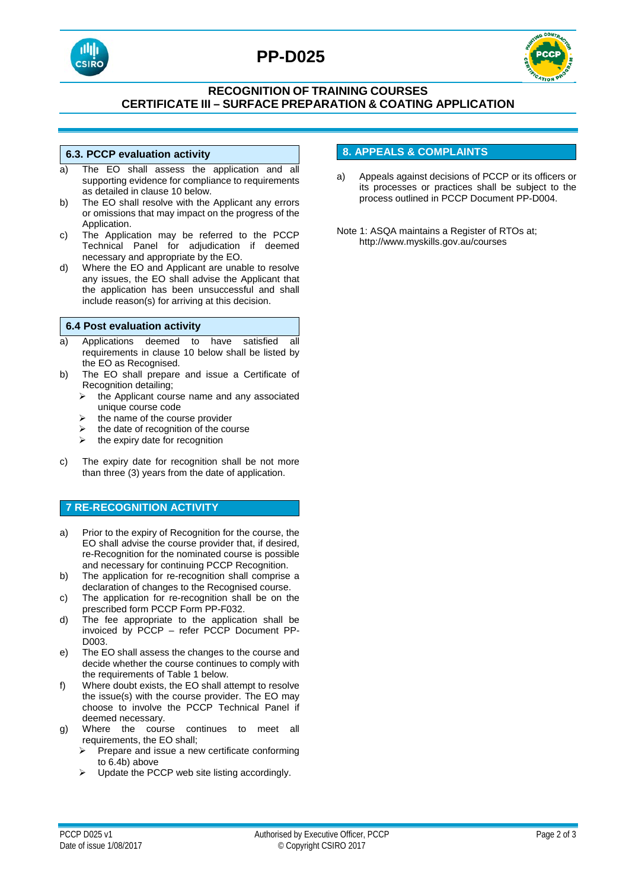

# **PP-D025**



## **RECOGNITION OF TRAINING COURSES CERTIFICATE III – SURFACE PREPARATION & COATING APPLICATION**

### **6.3. PCCP evaluation activity**

- a) The EO shall assess the application and all supporting evidence for compliance to requirements as detailed in clause 10 below.
- b) The EO shall resolve with the Applicant any errors or omissions that may impact on the progress of the Application.
- c) The Application may be referred to the PCCP Technical Panel for adjudication if deemed necessary and appropriate by the EO.
- d) Where the EO and Applicant are unable to resolve any issues, the EO shall advise the Applicant that the application has been unsuccessful and shall include reason(s) for arriving at this decision.

### **6.4 Post evaluation activity**

- a) Applications deemed to have satisfied all requirements in clause 10 below shall be listed by the EO as Recognised.
- b) The EO shall prepare and issue a Certificate of Recognition detailing;
	- $\triangleright$  the Applicant course name and any associated unique course code
	- the name of the course provider
	- the date of recognition of the course
	- $\triangleright$  the expiry date for recognition
- c) The expiry date for recognition shall be not more than three (3) years from the date of application.

### **7 RE-RECOGNITION ACTIVITY**

- a) Prior to the expiry of Recognition for the course, the EO shall advise the course provider that, if desired, re-Recognition for the nominated course is possible and necessary for continuing PCCP Recognition.
- b) The application for re-recognition shall comprise a declaration of changes to the Recognised course.
- c) The application for re-recognition shall be on the prescribed form PCCP Form PP-F032.
- d) The fee appropriate to the application shall be invoiced by PCCP – refer PCCP Document PP-D003.
- e) The EO shall assess the changes to the course and decide whether the course continues to comply with the requirements of Table 1 below.
- f) Where doubt exists, the EO shall attempt to resolve the issue(s) with the course provider. The EO may choose to involve the PCCP Technical Panel if deemed necessary.
- g) Where the course continues to meet all requirements, the EO shall;
	- Prepare and issue a new certificate conforming to 6.4b) above
	- Update the PCCP web site listing accordingly.

### **8. APPEALS & COMPLAINTS**

- a) Appeals against decisions of PCCP or its officers or its processes or practices shall be subject to the process outlined in PCCP Document PP-D004.
- Note 1: ASQA maintains a Register of RTOs at; http://www.myskills.gov.au/courses